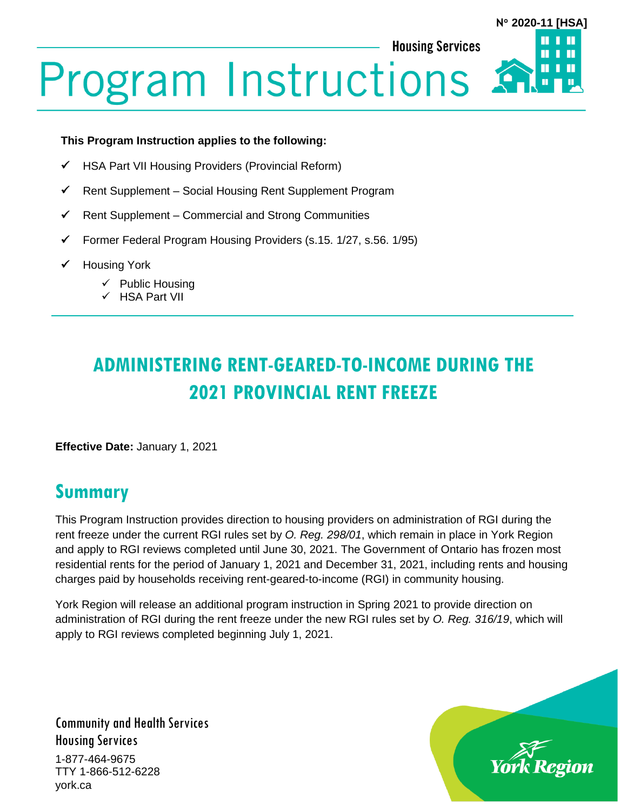**Housing Services** 

# **N 2020-11 [HSA]**

# **Program Instructions**

#### **This Program Instruction applies to the following:**

- ✓ HSA Part VII Housing Providers (Provincial Reform)
- ✓ Rent Supplement Social Housing Rent Supplement Program
- $\checkmark$  Rent Supplement Commercial and Strong Communities
- ✓ Former Federal Program Housing Providers (s.15. 1/27, s.56. 1/95)
- ✓ Housing York
	- ✓ Public Housing
	- ✓ HSA Part VII

# **ADMINISTERING RENT-GEARED-TO-INCOME DURING THE 2021 PROVINCIAL RENT FREEZE**

**Effective Date:** January 1, 2021

## **Summary**

This Program Instruction provides direction to housing providers on administration of RGI during the rent freeze under the current RGI rules set by *O. Reg. 298/01*, which remain in place in York Region and apply to RGI reviews completed until June 30, 2021. The Government of Ontario has frozen most residential rents for the period of January 1, 2021 and December 31, 2021, including rents and housing charges paid by households receiving rent-geared-to-income (RGI) in community housing.

York Region will release an additional program instruction in Spring 2021 to provide direction on administration of RGI during the rent freeze under the new RGI rules set by *O. Reg. 316/19*, which will apply to RGI reviews completed beginning July 1, 2021.

Community and Health Services Housing Services 1-877-464-9675 TTY 1-866-512-6228 york.ca

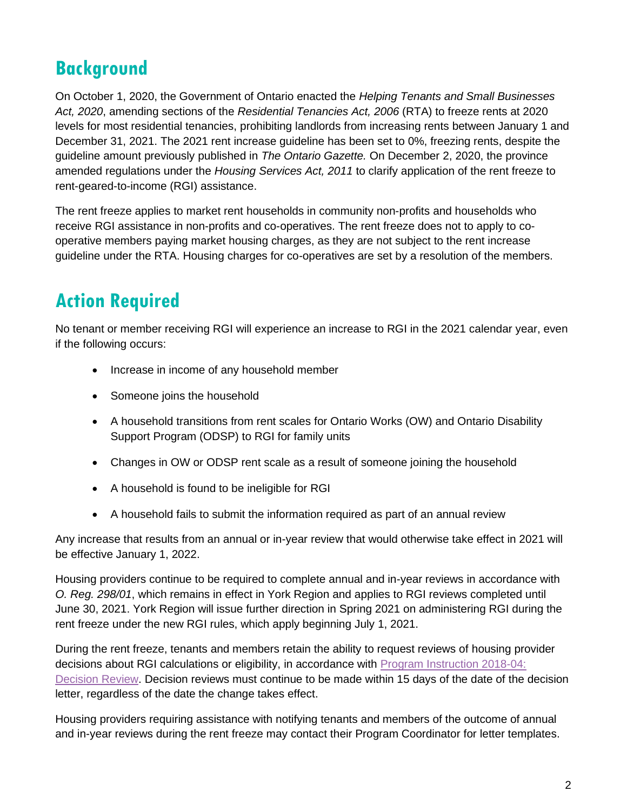## **Background**

On October 1, 2020, the Government of Ontario enacted the *Helping Tenants and Small Businesses Act, 2020*, amending sections of the *Residential Tenancies Act, 2006* (RTA) to freeze rents at 2020 levels for most residential tenancies, prohibiting landlords from increasing rents between January 1 and December 31, 2021. The 2021 rent increase guideline has been set to 0%, freezing rents, despite the guideline amount previously published in *The Ontario Gazette.* On December 2, 2020, the province amended regulations under the *Housing Services Act, 2011* to clarify application of the rent freeze to rent-geared-to-income (RGI) assistance.

The rent freeze applies to market rent households in community non-profits and households who receive RGI assistance in non-profits and co-operatives. The rent freeze does not to apply to cooperative members paying market housing charges, as they are not subject to the rent increase guideline under the RTA. Housing charges for co-operatives are set by a resolution of the members.

## **Action Required**

No tenant or member receiving RGI will experience an increase to RGI in the 2021 calendar year, even if the following occurs:

- Increase in income of any household member
- Someone joins the household
- A household transitions from rent scales for Ontario Works (OW) and Ontario Disability Support Program (ODSP) to RGI for family units
- Changes in OW or ODSP rent scale as a result of someone joining the household
- A household is found to be ineligible for RGI
- A household fails to submit the information required as part of an annual review

Any increase that results from an annual or in-year review that would otherwise take effect in 2021 will be effective January 1, 2022.

Housing providers continue to be required to complete annual and in-year reviews in accordance with *O. Reg. 298/01*, which remains in effect in York Region and applies to RGI reviews completed until June 30, 2021. York Region will issue further direction in Spring 2021 on administering RGI during the rent freeze under the new RGI rules, which apply beginning July 1, 2021.

During the rent freeze, tenants and members retain the ability to request reviews of housing provider decisions about RGI calculations or eligibility, in accordance with [Program Instruction 2018-04:](https://www.york.ca/wps/wcm/connect/yorkpublic/019a0f93-056d-4c13-b62b-d7da95dbfb4d/Program-Instructions-Decision-Review-Process.pdf?MOD=AJPERES&CVID=mukDtUV)  [Decision Review.](https://www.york.ca/wps/wcm/connect/yorkpublic/019a0f93-056d-4c13-b62b-d7da95dbfb4d/Program-Instructions-Decision-Review-Process.pdf?MOD=AJPERES&CVID=mukDtUV) Decision reviews must continue to be made within 15 days of the date of the decision letter, regardless of the date the change takes effect.

Housing providers requiring assistance with notifying tenants and members of the outcome of annual and in-year reviews during the rent freeze may contact their Program Coordinator for letter templates.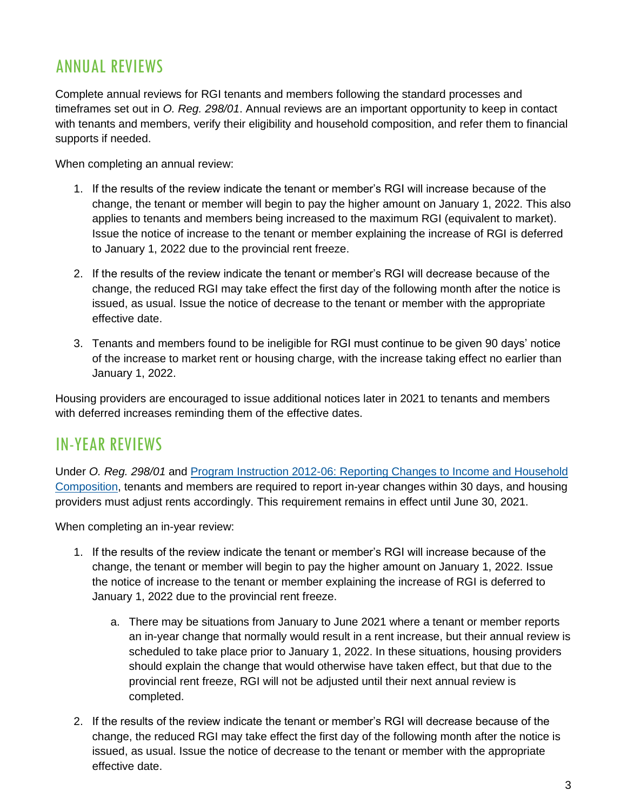#### ANNUAL REVIEWS

Complete annual reviews for RGI tenants and members following the standard processes and timeframes set out in *O. Reg. 298/01*. Annual reviews are an important opportunity to keep in contact with tenants and members, verify their eligibility and household composition, and refer them to financial supports if needed.

When completing an annual review:

- 1. If the results of the review indicate the tenant or member's RGI will increase because of the change, the tenant or member will begin to pay the higher amount on January 1, 2022. This also applies to tenants and members being increased to the maximum RGI (equivalent to market). Issue the notice of increase to the tenant or member explaining the increase of RGI is deferred to January 1, 2022 due to the provincial rent freeze.
- 2. If the results of the review indicate the tenant or member's RGI will decrease because of the change, the reduced RGI may take effect the first day of the following month after the notice is issued, as usual. Issue the notice of decrease to the tenant or member with the appropriate effective date.
- 3. Tenants and members found to be ineligible for RGI must continue to be given 90 days' notice of the increase to market rent or housing charge, with the increase taking effect no earlier than January 1, 2022.

Housing providers are encouraged to issue additional notices later in 2021 to tenants and members with deferred increases reminding them of the effective dates.

#### IN-YEAR REVIEWS

Under *O. Reg. 298/01* and [Program Instruction 2012-06: Reporting Changes to Income and Household](https://www.york.ca/wps/wcm/connect/yorkpublic/a081e5e6-f528-4fff-a283-50c4b7e807f9/2012-06+Reporting+changes+to+income+and+household+composition.pdf?MOD=AJPERES&CVID=mu87gb-)  [Composition,](https://www.york.ca/wps/wcm/connect/yorkpublic/a081e5e6-f528-4fff-a283-50c4b7e807f9/2012-06+Reporting+changes+to+income+and+household+composition.pdf?MOD=AJPERES&CVID=mu87gb-) tenants and members are required to report in-year changes within 30 days, and housing providers must adjust rents accordingly. This requirement remains in effect until June 30, 2021.

When completing an in-year review:

- 1. If the results of the review indicate the tenant or member's RGI will increase because of the change, the tenant or member will begin to pay the higher amount on January 1, 2022. Issue the notice of increase to the tenant or member explaining the increase of RGI is deferred to January 1, 2022 due to the provincial rent freeze.
	- a. There may be situations from January to June 2021 where a tenant or member reports an in-year change that normally would result in a rent increase, but their annual review is scheduled to take place prior to January 1, 2022. In these situations, housing providers should explain the change that would otherwise have taken effect, but that due to the provincial rent freeze, RGI will not be adjusted until their next annual review is completed.
- 2. If the results of the review indicate the tenant or member's RGI will decrease because of the change, the reduced RGI may take effect the first day of the following month after the notice is issued, as usual. Issue the notice of decrease to the tenant or member with the appropriate effective date.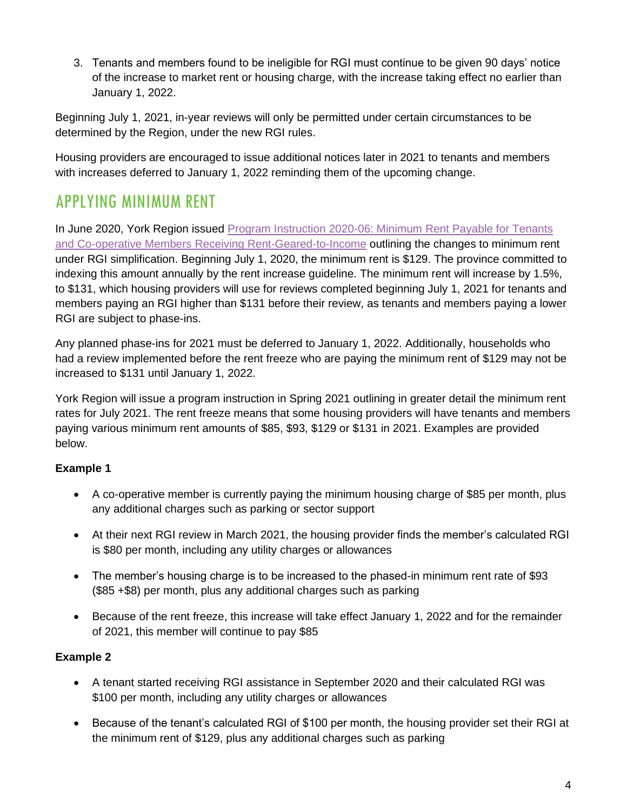3. Tenants and members found to be ineligible for RGI must continue to be given 90 days' notice of the increase to market rent or housing charge, with the increase taking effect no earlier than January 1, 2022.

Beginning July 1, 2021, in-year reviews will only be permitted under certain circumstances to be determined by the Region, under the new RGI rules.

Housing providers are encouraged to issue additional notices later in 2021 to tenants and members with increases deferred to January 1, 2022 reminding them of the upcoming change.

### APPLYING MINIMUM RENT

In June 2020, York Region issued [Program Instruction 2020-06: Minimum Rent Payable for Tenants](https://www.york.ca/wps/wcm/connect/yorkpublic/fb3ed3d3-e66a-4624-9bf9-76aee2864c98/PI-2020-06-Minimum-Rent-Payable-for-Tenants-and-Members-Receiving-Rent-Geared-to-Income.pdf?MOD=AJPERES&CVID=nakqM1-)  [and Co-operative Members Receiving Rent-Geared-to-Income](https://www.york.ca/wps/wcm/connect/yorkpublic/fb3ed3d3-e66a-4624-9bf9-76aee2864c98/PI-2020-06-Minimum-Rent-Payable-for-Tenants-and-Members-Receiving-Rent-Geared-to-Income.pdf?MOD=AJPERES&CVID=nakqM1-) outlining the changes to minimum rent under RGI simplification. Beginning July 1, 2020, the minimum rent is \$129. The province committed to indexing this amount annually by the rent increase guideline. The minimum rent will increase by 1.5%, to \$131, which housing providers will use for reviews completed beginning July 1, 2021 for tenants and members paying an RGI higher than \$131 before their review, as tenants and members paying a lower RGI are subject to phase-ins.

Any planned phase-ins for 2021 must be deferred to January 1, 2022. Additionally, households who had a review implemented before the rent freeze who are paying the minimum rent of \$129 may not be increased to \$131 until January 1, 2022.

York Region will issue a program instruction in Spring 2021 outlining in greater detail the minimum rent rates for July 2021. The rent freeze means that some housing providers will have tenants and members paying various minimum rent amounts of \$85, \$93, \$129 or \$131 in 2021. Examples are provided below.

#### **Example 1**

- A co-operative member is currently paying the minimum housing charge of \$85 per month, plus any additional charges such as parking or sector support
- At their next RGI review in March 2021, the housing provider finds the member's calculated RGI is \$80 per month, including any utility charges or allowances
- The member's housing charge is to be increased to the phased-in minimum rent rate of \$93 (\$85 +\$8) per month, plus any additional charges such as parking
- Because of the rent freeze, this increase will take effect January 1, 2022 and for the remainder of 2021, this member will continue to pay \$85

#### **Example 2**

- A tenant started receiving RGI assistance in September 2020 and their calculated RGI was \$100 per month, including any utility charges or allowances
- Because of the tenant's calculated RGI of \$100 per month, the housing provider set their RGI at the minimum rent of \$129, plus any additional charges such as parking